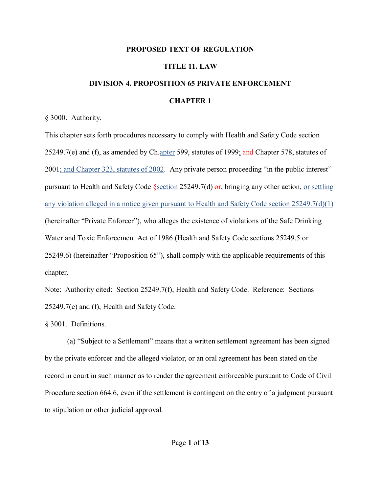#### **PROPOSED TEXT OF REGULATION**

## **TITLE 11. LAW**

# **DIVISION 4. PROPOSITION 65 PRIVATE ENFORCEMENT CHAPTER 1**

§ 3000. Authority.

This chapter sets forth procedures necessary to comply with Health and Safety Code section 25249.7(e) and (f), as amended by Ch-apter 599, statutes of 1999; and Chapter 578, statutes of 2001; and Chapter 323, statutes of 2002. Any private person proceeding "in the public interest" pursuant to Health and Safety Code §section 25249.7(d) or, bringing any other action, or settling any violation alleged in a notice given pursuant to Health and Safety Code section 25249.7(d)(1) (hereinafter "Private Enforcer"), who alleges the existence of violations of the Safe Drinking Water and Toxic Enforcement Act of 1986 (Health and Safety Code sections 25249.5 or 25249.6) (hereinafter "Proposition 65"), shall comply with the applicable requirements of this chapter.

Note: Authority cited: Section 25249.7(f), Health and Safety Code. Reference: Sections 25249.7(e) and (f), Health and Safety Code.

§ 3001. Definitions.

(a) "Subject to a Settlement" means that a written settlement agreement has been signed by the private enforcer and the alleged violator, or an oral agreement has been stated on the record in court in such manner as to render the agreement enforceable pursuant to Code of Civil Procedure section 664.6, even if the settlement is contingent on the entry of a judgment pursuant to stipulation or other judicial approval.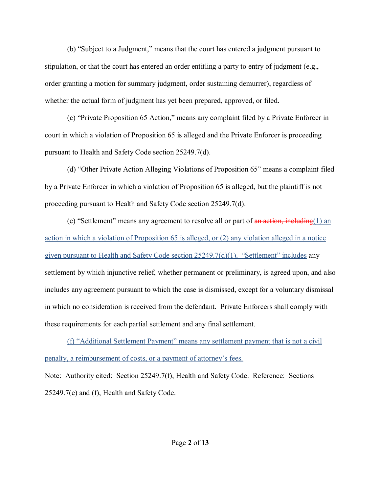(b) "Subject to a Judgment," means that the court has entered a judgment pursuant to stipulation, or that the court has entered an order entitling a party to entry of judgment (e.g., order granting a motion for summary judgment, order sustaining demurrer), regardless of whether the actual form of judgment has yet been prepared, approved, or filed.

(c) "Private Proposition 65 Action," means any complaint filed by a Private Enforcer in court in which a violation of Proposition 65 is alleged and the Private Enforcer is proceeding pursuant to Health and Safety Code section 25249.7(d).

(d) "Other Private Action Alleging Violations of Proposition 65" means a complaint filed by a Private Enforcer in which a violation of Proposition 65 is alleged, but the plaintiff is not proceeding pursuant to Health and Safety Code section 25249.7(d).

(e) "Settlement" means any agreement to resolve all or part of  $\frac{a_n}{a_n}$  action, including(1) an action in which a violation of Proposition 65 is alleged, or (2) any violation alleged in a notice given pursuant to Health and Safety Code section 25249.7(d)(1). "Settlement" includes any settlement by which injunctive relief, whether permanent or preliminary, is agreed upon, and also includes any agreement pursuant to which the case is dismissed, except for a voluntary dismissal in which no consideration is received from the defendant. Private Enforcers shall comply with these requirements for each partial settlement and any final settlement.

(f) "Additional Settlement Payment" means any settlement payment that is not a civil penalty, a reimbursement of costs, or a payment of attorney's fees. Note: Authority cited: Section 25249.7(f), Health and Safety Code. Reference: Sections 25249.7(e) and (f), Health and Safety Code.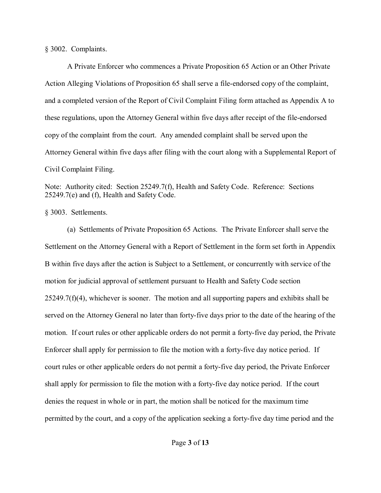§ 3002. Complaints.

A Private Enforcer who commences a Private Proposition 65 Action or an Other Private Action Alleging Violations of Proposition 65 shall serve a file-endorsed copy of the complaint, and a completed version of the Report of Civil Complaint Filing form attached as Appendix A to these regulations, upon the Attorney General within five days after receipt of the file-endorsed copy of the complaint from the court. Any amended complaint shall be served upon the Attorney General within five days after filing with the court along with a Supplemental Report of Civil Complaint Filing.

Note: Authority cited: Section 25249.7(f), Health and Safety Code. Reference: Sections 25249.7(e) and (f), Health and Safety Code.

§ 3003. Settlements.

(a) Settlements of Private Proposition 65 Actions. The Private Enforcer shall serve the Settlement on the Attorney General with a Report of Settlement in the form set forth in Appendix B within five days after the action is Subject to a Settlement, or concurrently with service of the motion for judicial approval of settlement pursuant to Health and Safety Code section  $25249.7(f)(4)$ , whichever is sooner. The motion and all supporting papers and exhibits shall be served on the Attorney General no later than forty-five days prior to the date of the hearing of the motion. If court rules or other applicable orders do not permit a forty-five day period, the Private Enforcer shall apply for permission to file the motion with a forty-five day notice period. If court rules or other applicable orders do not permit a forty-five day period, the Private Enforcer shall apply for permission to file the motion with a forty-five day notice period. If the court denies the request in whole or in part, the motion shall be noticed for the maximum time permitted by the court, and a copy of the application seeking a forty-five day time period and the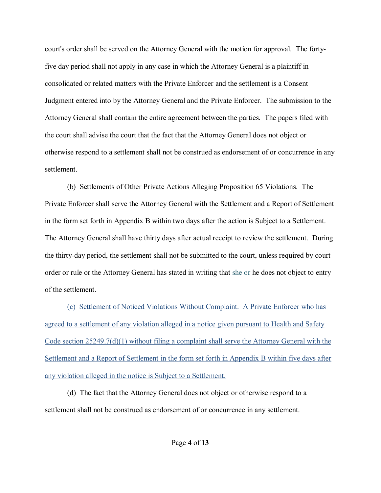court's order shall be served on the Attorney General with the motion for approval. The fortyfive day period shall not apply in any case in which the Attorney General is a plaintiff in consolidated or related matters with the Private Enforcer and the settlement is a Consent Judgment entered into by the Attorney General and the Private Enforcer. The submission to the Attorney General shall contain the entire agreement between the parties. The papers filed with the court shall advise the court that the fact that the Attorney General does not object or otherwise respond to a settlement shall not be construed as endorsement of or concurrence in any settlement.

(b) Settlements of Other Private Actions Alleging Proposition 65 Violations. The Private Enforcer shall serve the Attorney General with the Settlement and a Report of Settlement in the form set forth in Appendix B within two days after the action is Subject to a Settlement. The Attorney General shall have thirty days after actual receipt to review the settlement. During the thirty-day period, the settlement shall not be submitted to the court, unless required by court order or rule or the Attorney General has stated in writing that she or he does not object to entry of the settlement.

(c) Settlement of Noticed Violations Without Complaint. A Private Enforcer who has agreed to a settlement of any violation alleged in a notice given pursuant to Health and Safety Code section 25249.7(d)(1) without filing a complaint shall serve the Attorney General with the Settlement and a Report of Settlement in the form set forth in Appendix B within five days after any violation alleged in the notice is Subject to a Settlement.

(d) The fact that the Attorney General does not object or otherwise respond to a settlement shall not be construed as endorsement of or concurrence in any settlement.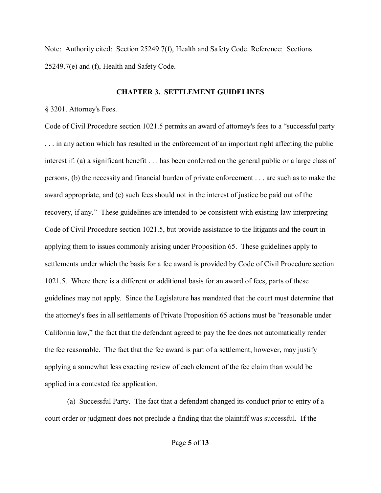Note: Authority cited: Section 25249.7(f), Health and Safety Code. Reference: Sections 25249.7(e) and (f), Health and Safety Code.

### **CHAPTER 3. SETTLEMENT GUIDELINES**

### § 3201. Attorney's Fees.

Code of Civil Procedure section 1021.5 permits an award of attorney's fees to a "successful party . . . in any action which has resulted in the enforcement of an important right affecting the public interest if: (a) a significant benefit . . . has been conferred on the general public or a large class of persons, (b) the necessity and financial burden of private enforcement . . . are such as to make the award appropriate, and (c) such fees should not in the interest of justice be paid out of the recovery, if any." These guidelines are intended to be consistent with existing law interpreting Code of Civil Procedure section 1021.5, but provide assistance to the litigants and the court in applying them to issues commonly arising under Proposition 65. These guidelines apply to settlements under which the basis for a fee award is provided by Code of Civil Procedure section 1021.5. Where there is a different or additional basis for an award of fees, parts of these guidelines may not apply. Since the Legislature has mandated that the court must determine that the attorney's fees in all settlements of Private Proposition 65 actions must be "reasonable under California law," the fact that the defendant agreed to pay the fee does not automatically render the fee reasonable. The fact that the fee award is part of a settlement, however, may justify applying a somewhat less exacting review of each element of the fee claim than would be applied in a contested fee application.

(a) Successful Party. The fact that a defendant changed its conduct prior to entry of a court order or judgment does not preclude a finding that the plaintiff was successful. If the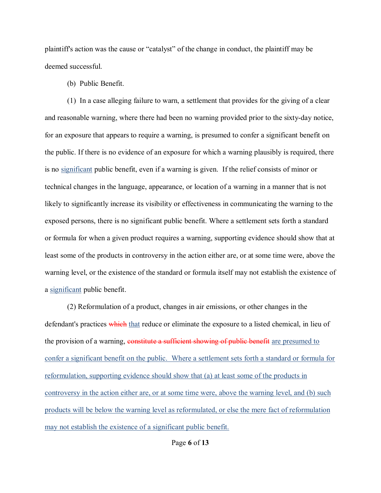plaintiff's action was the cause or "catalyst" of the change in conduct, the plaintiff may be deemed successful.

(b) Public Benefit.

(1) In a case alleging failure to warn, a settlement that provides for the giving of a clear and reasonable warning, where there had been no warning provided prior to the sixty-day notice, for an exposure that appears to require a warning, is presumed to confer a significant benefit on the public. If there is no evidence of an exposure for which a warning plausibly is required, there is no significant public benefit, even if a warning is given. If the relief consists of minor or technical changes in the language, appearance, or location of a warning in a manner that is not likely to significantly increase its visibility or effectiveness in communicating the warning to the exposed persons, there is no significant public benefit. Where a settlement sets forth a standard or formula for when a given product requires a warning, supporting evidence should show that at least some of the products in controversy in the action either are, or at some time were, above the warning level, or the existence of the standard or formula itself may not establish the existence of a significant public benefit.

(2) Reformulation of a product, changes in air emissions, or other changes in the defendant's practices which that reduce or eliminate the exposure to a listed chemical, in lieu of the provision of a warning, constitute a sufficient showing of public benefit are presumed to confer a significant benefit on the public. Where a settlement sets forth a standard or formula for reformulation, supporting evidence should show that (a) at least some of the products in controversy in the action either are, or at some time were, above the warning level, and (b) such products will be below the warning level as reformulated, or else the mere fact of reformulation may not establish the existence of a significant public benefit.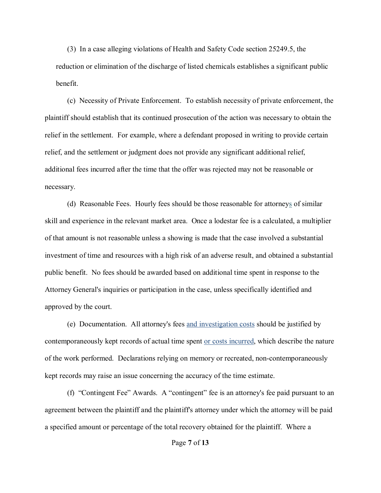(3) In a case alleging violations of Health and Safety Code section 25249.5, the reduction or elimination of the discharge of listed chemicals establishes a significant public benefit.

(c) Necessity of Private Enforcement. To establish necessity of private enforcement, the plaintiff should establish that its continued prosecution of the action was necessary to obtain the relief in the settlement. For example, where a defendant proposed in writing to provide certain relief, and the settlement or judgment does not provide any significant additional relief, additional fees incurred after the time that the offer was rejected may not be reasonable or necessary.

(d) Reasonable Fees. Hourly fees should be those reasonable for attorneys of similar skill and experience in the relevant market area. Once a lodestar fee is a calculated, a multiplier of that amount is not reasonable unless a showing is made that the case involved a substantial investment of time and resources with a high risk of an adverse result, and obtained a substantial public benefit. No fees should be awarded based on additional time spent in response to the Attorney General's inquiries or participation in the case, unless specifically identified and approved by the court.

(e) Documentation. All attorney's fees and investigation costs should be justified by contemporaneously kept records of actual time spent or costs incurred, which describe the nature of the work performed. Declarations relying on memory or recreated, non-contemporaneously kept records may raise an issue concerning the accuracy of the time estimate.

(f) "Contingent Fee" Awards. A "contingent" fee is an attorney's fee paid pursuant to an agreement between the plaintiff and the plaintiff's attorney under which the attorney will be paid a specified amount or percentage of the total recovery obtained for the plaintiff. Where a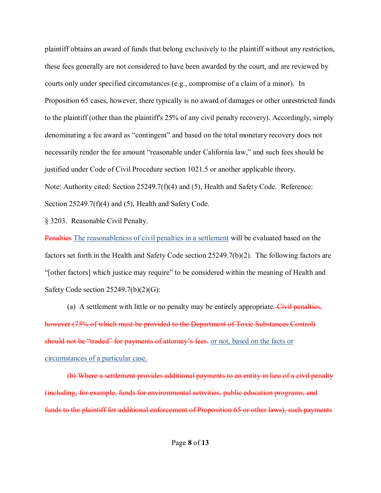plaintiff obtains an award of funds that belong exclusively to the plaintiff without any restriction, these fees generally are not considered to have been awarded by the court, and are reviewed by courts only under specified circumstances (e.g., compromise of a claim of a minor). In Proposition 65 cases, however, there typically is no award of damages or other unrestricted funds to the plaintiff (other than the plaintiff's 25% of any civil penalty recovery). Accordingly, simply denominating a fee award as "contingent" and based on the total monetary recovery does not necessarily render the fee amount "reasonable under California law," and such fees should be justified under Code of Civil Procedure section 1021.5 or another applicable theory. Note: Authority cited: Section 25249.7(f)(4) and (5), Health and Safety Code. Reference: Section 25249.7(f)(4) and (5), Health and Safety Code.

§ 3203. Reasonable Civil Penalty.

Penalties The reasonableness of civil penalties in a settlement will be evaluated based on the factors set forth in the Health and Safety Code section 25249.7(b)(2). The following factors are "[other factors] which justice may require" to be considered within the meaning of Health and Safety Code section  $25249.7(b)(2)(G)$ :

(a) A settlement with little or no penalty may be entirely appropriate. Civil penalties, however (75% of which must be provided to the Department of Toxic Substances Control) should not be "traded" for payments of attorney's fees. or not, based on the facts or circumstances of a particular case.

(b) Where a settlement provides additional payments to an entity in lieu of a civil penalty (including, for example, funds for environmental activities, public education programs, and funds to the plaintiff for additional enforcement of Proposition 65 or other laws), such payments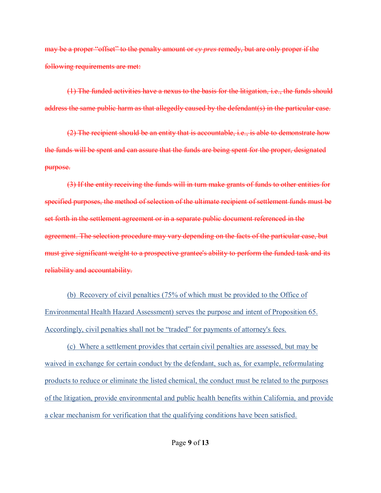may be a proper "offset" to the penalty amount or *cy pres* remedy, but are only proper if the following requirements are met:

(1) The funded activities have a nexus to the basis for the litigation, i.e., the funds should address the same public harm as that allegedly caused by the defendant(s) in the particular case.

(2) The recipient should be an entity that is accountable, i.e., is able to demonstrate how the funds will be spent and can assure that the funds are being spent for the proper, designated purpose.

(3) If the entity receiving the funds will in turn make grants of funds to other entities for specified purposes, the method of selection of the ultimate recipient of settlement funds must be set forth in the settlement agreement or in a separate public document referenced in the agreement. The selection procedure may vary depending on the facts of the particular case, but must give significant weight to a prospective grantee's ability to perform the funded task and its reliability and accountability.

(b) Recovery of civil penalties (75% of which must be provided to the Office of Environmental Health Hazard Assessment) serves the purpose and intent of Proposition 65. Accordingly, civil penalties shall not be "traded" for payments of attorney's fees.

(c) Where a settlement provides that certain civil penalties are assessed, but may be waived in exchange for certain conduct by the defendant, such as, for example, reformulating products to reduce or eliminate the listed chemical, the conduct must be related to the purposes of the litigation, provide environmental and public health benefits within California, and provide a clear mechanism for verification that the qualifying conditions have been satisfied.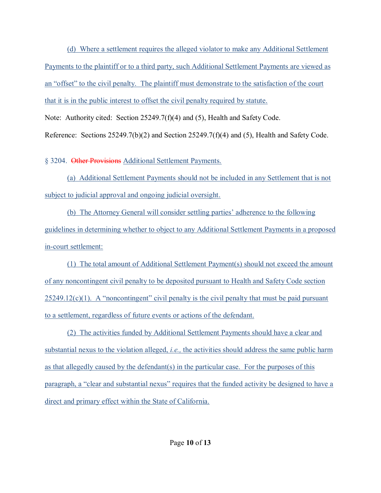(d) Where a settlement requires the alleged violator to make any Additional Settlement Payments to the plaintiff or to a third party, such Additional Settlement Payments are viewed as an "offset" to the civil penalty. The plaintiff must demonstrate to the satisfaction of the court that it is in the public interest to offset the civil penalty required by statute.

Note: Authority cited: Section 25249.7(f)(4) and (5), Health and Safety Code.

Reference: Sections 25249.7(b)(2) and Section 25249.7(f)(4) and (5), Health and Safety Code.

§ 3204. Other Provisions Additional Settlement Payments.

(a) Additional Settlement Payments should not be included in any Settlement that is not subject to judicial approval and ongoing judicial oversight.

(b) The Attorney General will consider settling parties' adherence to the following guidelines in determining whether to object to any Additional Settlement Payments in a proposed in-court settlement:

(1) The total amount of Additional Settlement Payment(s) should not exceed the amount of any noncontingent civil penalty to be deposited pursuant to Health and Safety Code section  $25249.12(c)(1)$ . A "noncontingent" civil penalty is the civil penalty that must be paid pursuant to a settlement, regardless of future events or actions of the defendant.

(2) The activities funded by Additional Settlement Payments should have a clear and substantial nexus to the violation alleged, *i.e.,* the activities should address the same public harm as that allegedly caused by the defendant(s) in the particular case. For the purposes of this paragraph, a "clear and substantial nexus" requires that the funded activity be designed to have a direct and primary effect within the State of California.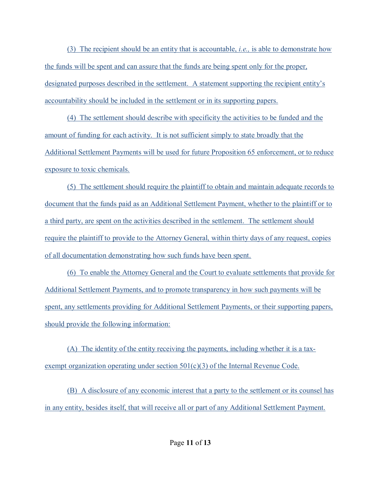(3) The recipient should be an entity that is accountable, *i.e.,* is able to demonstrate how the funds will be spent and can assure that the funds are being spent only for the proper, designated purposes described in the settlement. A statement supporting the recipient entity's accountability should be included in the settlement or in its supporting papers.

(4) The settlement should describe with specificity the activities to be funded and the amount of funding for each activity. It is not sufficient simply to state broadly that the Additional Settlement Payments will be used for future Proposition 65 enforcement, or to reduce exposure to toxic chemicals.

(5) The settlement should require the plaintiff to obtain and maintain adequate records to document that the funds paid as an Additional Settlement Payment, whether to the plaintiff or to a third party, are spent on the activities described in the settlement. The settlement should require the plaintiff to provide to the Attorney General, within thirty days of any request, copies of all documentation demonstrating how such funds have been spent.

(6) To enable the Attorney General and the Court to evaluate settlements that provide for Additional Settlement Payments, and to promote transparency in how such payments will be spent, any settlements providing for Additional Settlement Payments, or their supporting papers, should provide the following information:

(A) The identity of the entity receiving the payments, including whether it is a taxexempt organization operating under section  $501(c)(3)$  of the Internal Revenue Code.

(B) A disclosure of any economic interest that a party to the settlement or its counsel has in any entity, besides itself, that will receive all or part of any Additional Settlement Payment.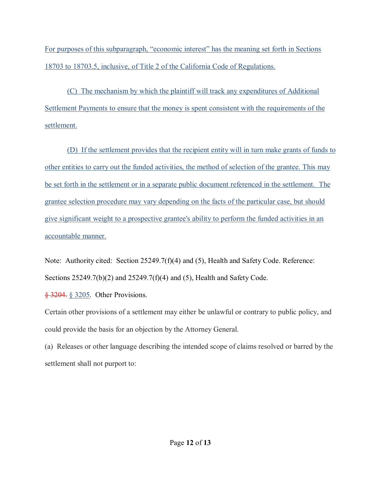For purposes of this subparagraph, "economic interest" has the meaning set forth in Sections 18703 to 18703.5, inclusive, of Title 2 of the California Code of Regulations.

(C) The mechanism by which the plaintiff will track any expenditures of Additional Settlement Payments to ensure that the money is spent consistent with the requirements of the settlement.

(D) If the settlement provides that the recipient entity will in turn make grants of funds to other entities to carry out the funded activities, the method of selection of the grantee. This may be set forth in the settlement or in a separate public document referenced in the settlement. The grantee selection procedure may vary depending on the facts of the particular case, but should give significant weight to a prospective grantee's ability to perform the funded activities in an accountable manner.

Note: Authority cited: Section 25249.7(f)(4) and (5), Health and Safety Code. Reference: Sections 25249.7(b)(2) and 25249.7(f)(4) and (5), Health and Safety Code.

§ 3204. § 3205. Other Provisions.

Certain other provisions of a settlement may either be unlawful or contrary to public policy, and could provide the basis for an objection by the Attorney General.

(a) Releases or other language describing the intended scope of claims resolved or barred by the settlement shall not purport to: